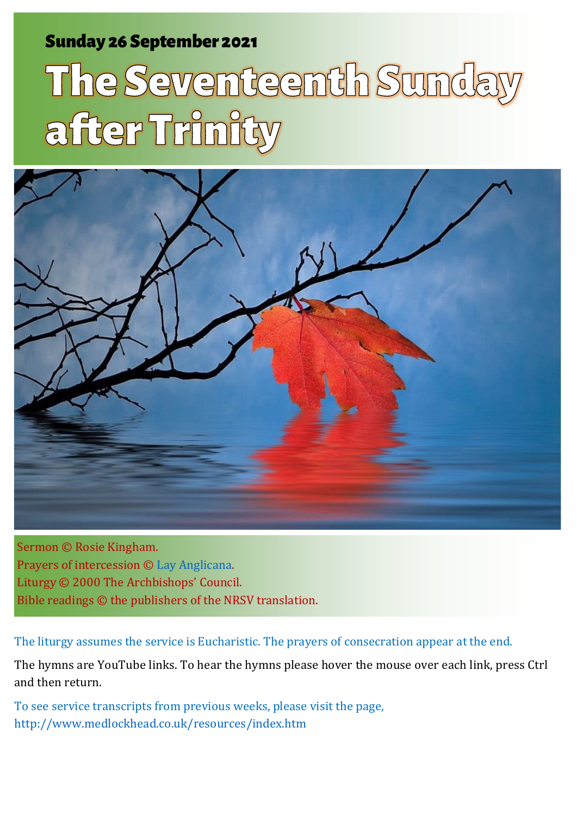### Sunday 26 September 2021 1 The Sunday after Trinity Sunday and Sunday after Sunday and Sunday after Sunday and

# The Seventeenth Sunda after Trinity



Sermon © Rosie Kingham. Prayers of intercession © [Lay Anglicana.](http://www.layanglicana.org/blog/2012/09/26/help-intercessions-for-17th-sunday-after-trinity-proper-21/) Liturgy © 2000 The Archbishops' Council. Bible readings © the publishers of the NRSV translation.

The liturgy assumes the service is Eucharistic. The prayers of consecration appear at the end.

The hymns are YouTube links. To hear the hymns please hover the mouse over each link, press Ctrl and then return.

To see service transcripts from previous weeks, please visit the page, <http://www.medlockhead.co.uk/resources/index.htm>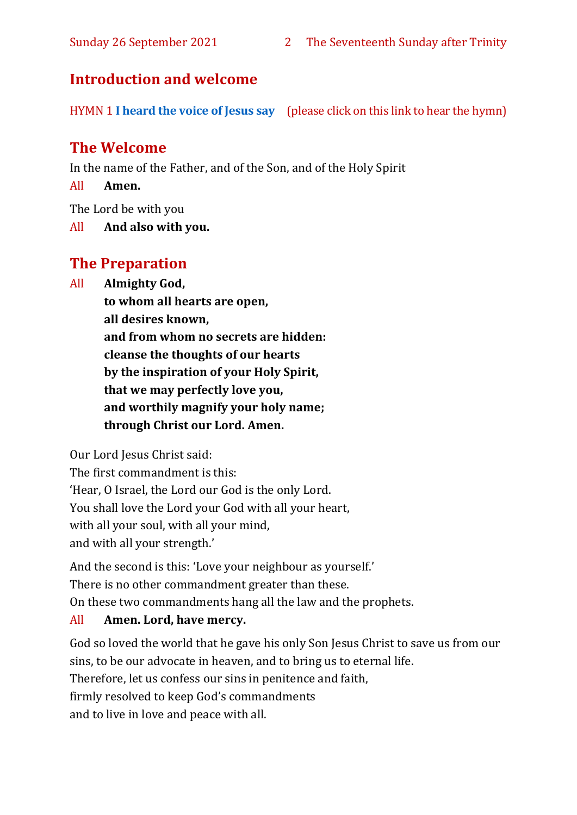#### **Introduction and welcome**

HYMN 1 **[I heard the voice of Jesus say](https://www.youtube.com/watch?v=XUVCpF8-VuE)** (please click on this link to hear the hymn)

#### **The Welcome**

In the name of the Father, and of the Son, and of the Holy Spirit

All **Amen.**

The Lord be with you

All **And also with you.**

#### **The Preparation**

All **Almighty God,**

**to whom all hearts are open, all desires known, and from whom no secrets are hidden: cleanse the thoughts of our hearts by the inspiration of your Holy Spirit, that we may perfectly love you, and worthily magnify your holy name; through Christ our Lord. Amen.**

Our Lord Jesus Christ said:

The first commandment is this: 'Hear, O Israel, the Lord our God is the only Lord. You shall love the Lord your God with all your heart, with all your soul, with all your mind, and with all your strength.'

And the second is this: 'Love your neighbour as yourself.' There is no other commandment greater than these. On these two commandments hang all the law and the prophets.

#### All **Amen. Lord, have mercy.**

God so loved the world that he gave his only Son Jesus Christ to save us from our sins, to be our advocate in heaven, and to bring us to eternal life. Therefore, let us confess our sins in penitence and faith, firmly resolved to keep God's commandments and to live in love and peace with all.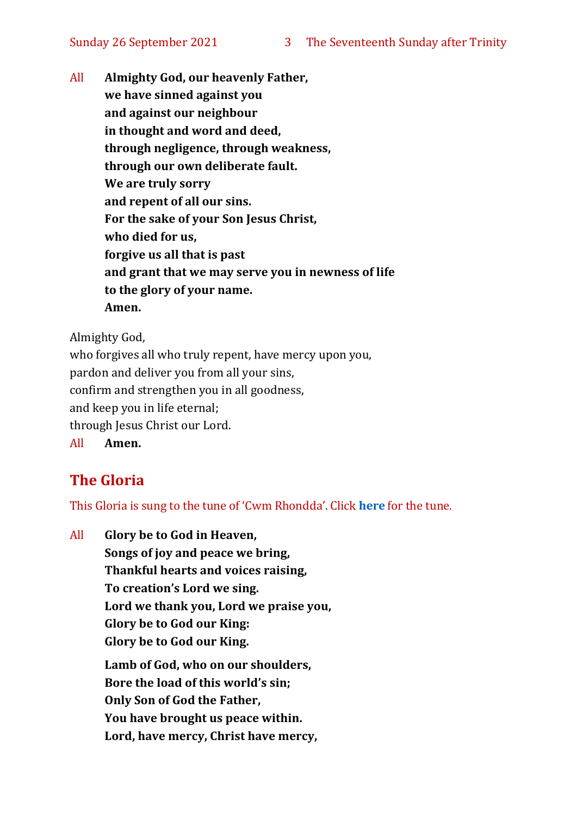All **Almighty God, our heavenly Father, we have sinned against you and against our neighbour in thought and word and deed, through negligence, through weakness, through our own deliberate fault. We are truly sorry and repent of all our sins. For the sake of your Son Jesus Christ, who died for us, forgive us all that is past and grant that we may serve you in newness of life to the glory of your name. Amen.**

Almighty God,

who forgives all who truly repent, have mercy upon you, pardon and deliver you from all your sins, confirm and strengthen you in all goodness, and keep you in life eternal; through Jesus Christ our Lord. All **Amen.**

#### **The Gloria**

This Gloria is sung to the tune of 'Cwm Rhondda'. Click **[here](about:blank)** for the tune.

All **Glory be to God in Heaven, Songs of joy and peace we bring, Thankful hearts and voices raising, To creation's Lord we sing. Lord we thank you, Lord we praise you, Glory be to God our King: Glory be to God our King. Lamb of God, who on our shoulders, Bore the load of this world's sin; Only Son of God the Father, You have brought us peace within. Lord, have mercy, Christ have mercy,**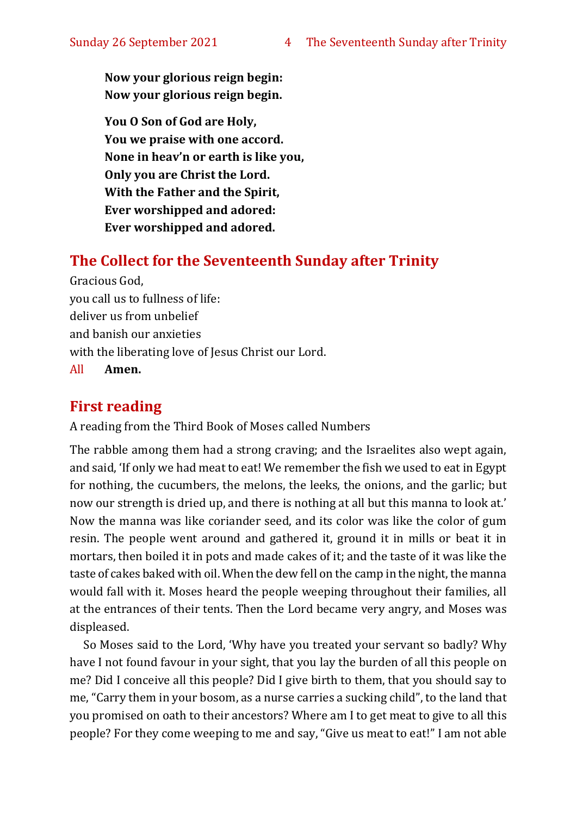**Now your glorious reign begin: Now your glorious reign begin.**

**You O Son of God are Holy, You we praise with one accord. None in heav'n or earth is like you, Only you are Christ the Lord. With the Father and the Spirit, Ever worshipped and adored: Ever worshipped and adored.**

#### **The Collect for the Seventeenth Sunday after Trinity**

Gracious God, you call us to fullness of life: deliver us from unbelief and banish our anxieties with the liberating love of Jesus Christ our Lord. All **Amen.**

#### **First reading**

A reading from the Third Book of Moses called Numbers

The rabble among them had a strong craving; and the Israelites also wept again, and said, 'If only we had meat to eat! We remember the fish we used to eat in Egypt for nothing, the cucumbers, the melons, the leeks, the onions, and the garlic; but now our strength is dried up, and there is nothing at all but this manna to look at.' Now the manna was like coriander seed, and its color was like the color of gum resin. The people went around and gathered it, ground it in mills or beat it in mortars, then boiled it in pots and made cakes of it; and the taste of it was like the taste of cakes baked with oil. When the dew fell on the camp in the night, the manna would fall with it. Moses heard the people weeping throughout their families, all at the entrances of their tents. Then the Lord became very angry, and Moses was displeased.

So Moses said to the Lord, 'Why have you treated your servant so badly? Why have I not found favour in your sight, that you lay the burden of all this people on me? Did I conceive all this people? Did I give birth to them, that you should say to me, "Carry them in your bosom, as a nurse carries a sucking child", to the land that you promised on oath to their ancestors? Where am I to get meat to give to all this people? For they come weeping to me and say, "Give us meat to eat!" I am not able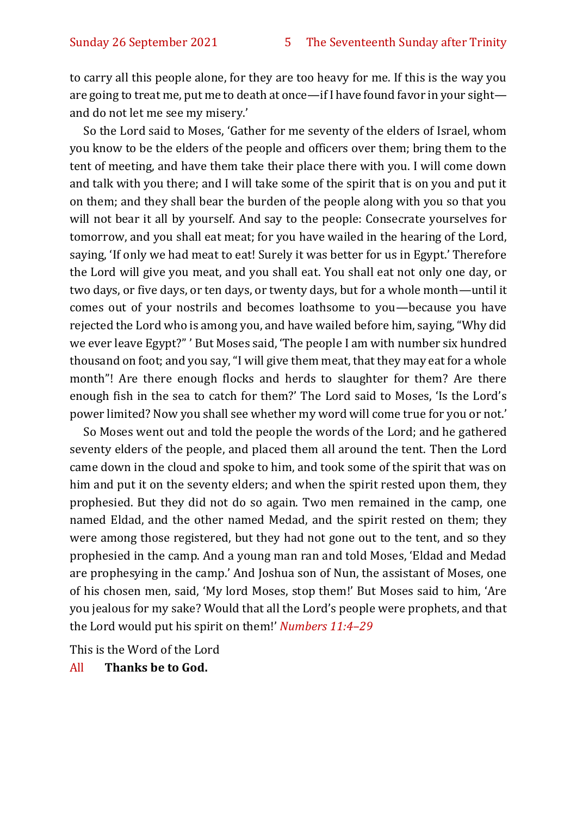to carry all this people alone, for they are too heavy for me. If this is the way you are going to treat me, put me to death at once—if I have found favor in your sight and do not let me see my misery.'

So the Lord said to Moses, 'Gather for me seventy of the elders of Israel, whom you know to be the elders of the people and officers over them; bring them to the tent of meeting, and have them take their place there with you. I will come down and talk with you there; and I will take some of the spirit that is on you and put it on them; and they shall bear the burden of the people along with you so that you will not bear it all by yourself. And say to the people: Consecrate yourselves for tomorrow, and you shall eat meat; for you have wailed in the hearing of the Lord, saying, 'If only we had meat to eat! Surely it was better for us in Egypt.' Therefore the Lord will give you meat, and you shall eat. You shall eat not only one day, or two days, or five days, or ten days, or twenty days, but for a whole month—until it comes out of your nostrils and becomes loathsome to you—because you have rejected the Lord who is among you, and have wailed before him, saying, "Why did we ever leave Egypt?" ' But Moses said, 'The people I am with number six hundred thousand on foot; and you say, "I will give them meat, that they may eat for a whole month"! Are there enough flocks and herds to slaughter for them? Are there enough fish in the sea to catch for them?' The Lord said to Moses, 'Is the Lord's power limited? Now you shall see whether my word will come true for you or not.'

So Moses went out and told the people the words of the Lord; and he gathered seventy elders of the people, and placed them all around the tent. Then the Lord came down in the cloud and spoke to him, and took some of the spirit that was on him and put it on the seventy elders; and when the spirit rested upon them, they prophesied. But they did not do so again. Two men remained in the camp, one named Eldad, and the other named Medad, and the spirit rested on them; they were among those registered, but they had not gone out to the tent, and so they prophesied in the camp. And a young man ran and told Moses, 'Eldad and Medad are prophesying in the camp.' And Joshua son of Nun, the assistant of Moses, one of his chosen men, said, 'My lord Moses, stop them!' But Moses said to him, 'Are you jealous for my sake? Would that all the Lord's people were prophets, and that the Lord would put his spirit on them!' *Numbers 11:4–29* 

This is the Word of the Lord

#### All **Thanks be to God.**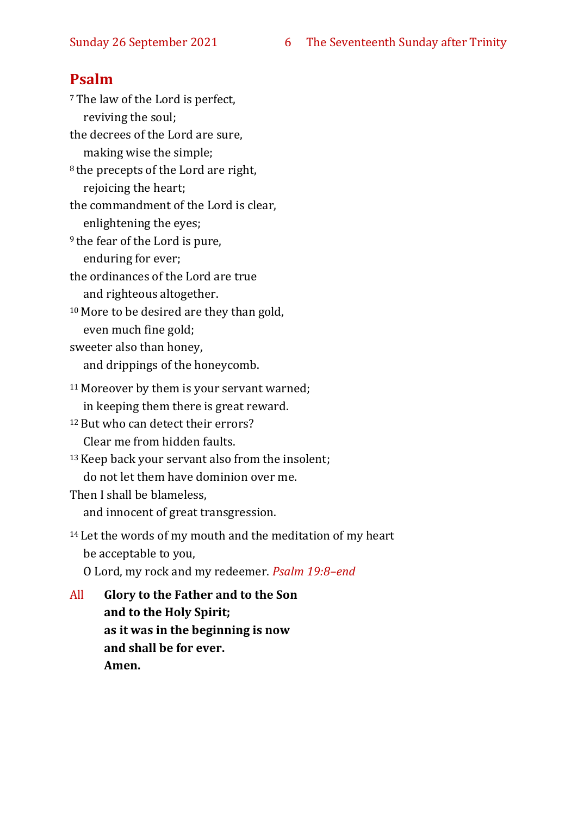#### **Psalm**

<sup>7</sup>The law of the Lord is perfect, reviving the soul; the decrees of the Lord are sure, making wise the simple; <sup>8</sup> the precepts of the Lord are right, rejoicing the heart; the commandment of the Lord is clear, enlightening the eyes; <sup>9</sup> the fear of the Lord is pure, enduring for ever; the ordinances of the Lord are true and righteous altogether. <sup>10</sup> More to be desired are they than gold, even much fine gold; sweeter also than honey, and drippings of the honeycomb. <sup>11</sup> Moreover by them is your servant warned; in keeping them there is great reward. <sup>12</sup> But who can detect their errors? Clear me from hidden faults. <sup>13</sup>Keep back your servant also from the insolent; do not let them have dominion over me. Then I shall be blameless, and innocent of great transgression. <sup>14</sup> Let the words of my mouth and the meditation of my heart be acceptable to you, O Lord, my rock and my redeemer. *Psalm 19:8–end* All **Glory to the Father and to the Son and to the Holy Spirit; as it was in the beginning is now**

> **and shall be for ever. Amen.**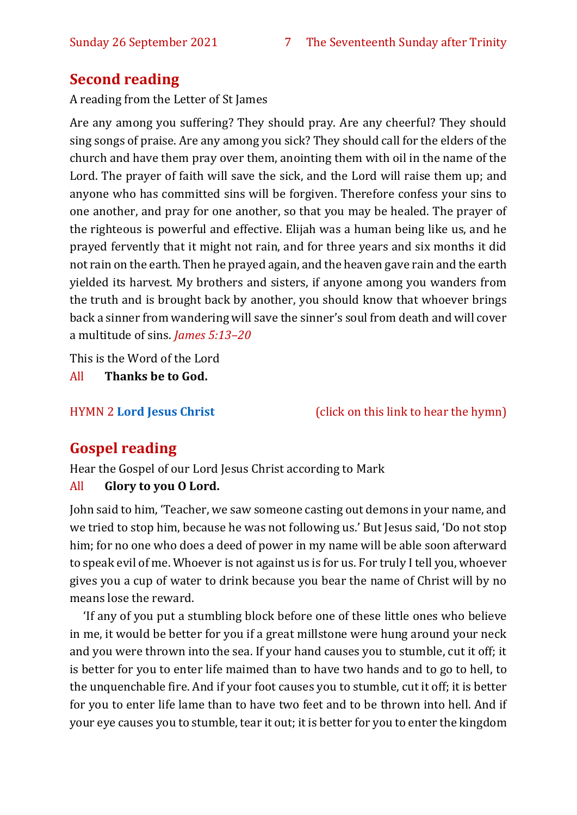#### **Second reading**

A reading from the Letter of St James

Are any among you suffering? They should pray. Are any cheerful? They should sing songs of praise. Are any among you sick? They should call for the elders of the church and have them pray over them, anointing them with oil in the name of the Lord. The prayer of faith will save the sick, and the Lord will raise them up; and anyone who has committed sins will be forgiven. Therefore confess your sins to one another, and pray for one another, so that you may be healed. The prayer of the righteous is powerful and effective. Elijah was a human being like us, and he prayed fervently that it might not rain, and for three years and six months it did not rain on the earth. Then he prayed again, and the heaven gave rain and the earth yielded its harvest. My brothers and sisters, if anyone among you wanders from the truth and is brought back by another, you should know that whoever brings back a sinner from wandering will save the sinner's soul from death and will cover a multitude of sins. *James 5:13–20*

This is the Word of the Lord

All **Thanks be to God.**

HYMN 2 **[Lord Jesus Christ](https://youtu.be/ubl8VsTNVv8)** (click on this link to hear the hymn)

#### **Gospel reading**

Hear the Gospel of our Lord Jesus Christ according to Mark

#### All **Glory to you O Lord.**

John said to him, 'Teacher, we saw someone casting out demons in your name, and we tried to stop him, because he was not following us.' But Jesus said, 'Do not stop him; for no one who does a deed of power in my name will be able soon afterward to speak evil of me. Whoever is not against us is for us. For truly I tell you, whoever gives you a cup of water to drink because you bear the name of Christ will by no means lose the reward.

'If any of you put a stumbling block before one of these little ones who believe in me, it would be better for you if a great millstone were hung around your neck and you were thrown into the sea. If your hand causes you to stumble, cut it off; it is better for you to enter life maimed than to have two hands and to go to hell, to the unquenchable fire. And if your foot causes you to stumble, cut it off; it is better for you to enter life lame than to have two feet and to be thrown into hell. And if your eye causes you to stumble, tear it out; it is better for you to enter the kingdom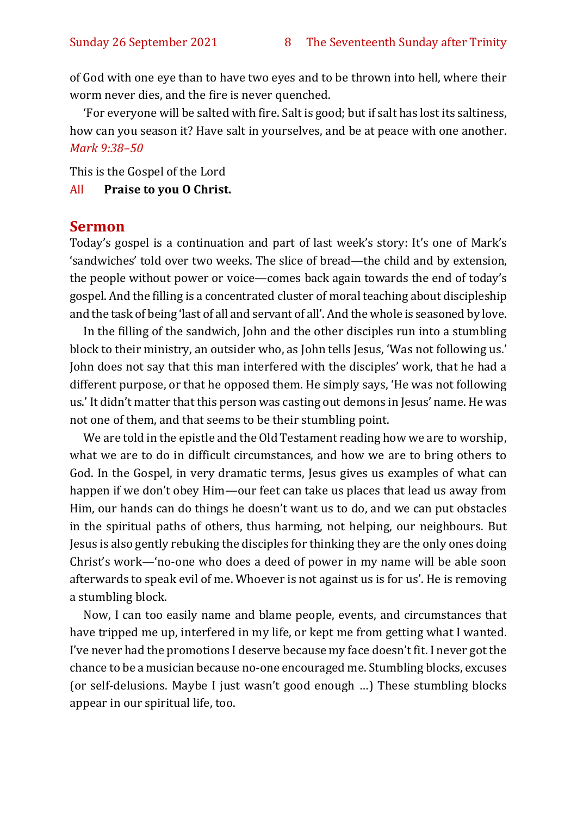of God with one eye than to have two eyes and to be thrown into hell, where their worm never dies, and the fire is never quenched.

'For everyone will be salted with fire. Salt is good; but if salt has lost its saltiness, how can you season it? Have salt in yourselves, and be at peace with one another. *Mark 9:38–50*

This is the Gospel of the Lord

#### All **Praise to you O Christ.**

#### **Sermon**

Today's gospel is a continuation and part of last week's story: It's one of Mark's 'sandwiches' told over two weeks. The slice of bread—the child and by extension, the people without power or voice—comes back again towards the end of today's gospel. And the filling is a concentrated cluster of moral teaching about discipleship and the task of being 'last of all and servant of all'. And the whole is seasoned by love.

In the filling of the sandwich, John and the other disciples run into a stumbling block to their ministry, an outsider who, as John tells Jesus, 'Was not following us.' John does not say that this man interfered with the disciples' work, that he had a different purpose, or that he opposed them. He simply says, 'He was not following us.' It didn't matter that this person was casting out demons in Jesus' name. He was not one of them, and that seems to be their stumbling point.

We are told in the epistle and the Old Testament reading how we are to worship, what we are to do in difficult circumstances, and how we are to bring others to God. In the Gospel, in very dramatic terms, Jesus gives us examples of what can happen if we don't obey Him—our feet can take us places that lead us away from Him, our hands can do things he doesn't want us to do, and we can put obstacles in the spiritual paths of others, thus harming, not helping, our neighbours. But Jesus is also gently rebuking the disciples for thinking they are the only ones doing Christ's work—'no-one who does a deed of power in my name will be able soon afterwards to speak evil of me. Whoever is not against us is for us'. He is removing a stumbling block.

Now, I can too easily name and blame people, events, and circumstances that have tripped me up, interfered in my life, or kept me from getting what I wanted. I've never had the promotions I deserve because my face doesn't fit. I never got the chance to be a musician because no-one encouraged me. Stumbling blocks, excuses (or self-delusions. Maybe I just wasn't good enough …) These stumbling blocks appear in our spiritual life, too.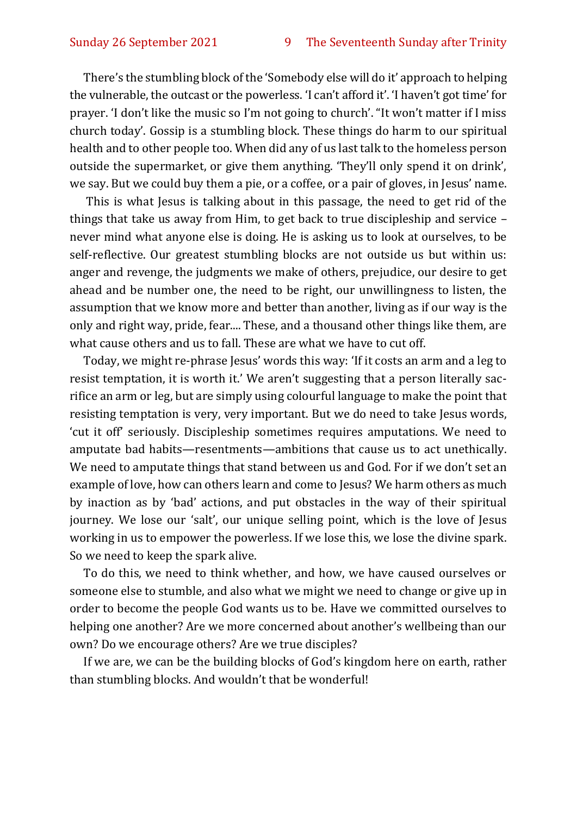There's the stumbling block of the 'Somebody else will do it' approach to helping the vulnerable, the outcast or the powerless. 'I can't afford it'. 'I haven't got time' for prayer. 'I don't like the music so I'm not going to church'. "It won't matter if I miss church today'. Gossip is a stumbling block. These things do harm to our spiritual health and to other people too. When did any of us last talk to the homeless person outside the supermarket, or give them anything. 'They'll only spend it on drink', we say. But we could buy them a pie, or a coffee, or a pair of gloves, in Jesus' name.

This is what Jesus is talking about in this passage, the need to get rid of the things that take us away from Him, to get back to true discipleship and service – never mind what anyone else is doing. He is asking us to look at ourselves, to be self-reflective. Our greatest stumbling blocks are not outside us but within us: anger and revenge, the judgments we make of others, prejudice, our desire to get ahead and be number one, the need to be right, our unwillingness to listen, the assumption that we know more and better than another, living as if our way is the only and right way, pride, fear.... These, and a thousand other things like them, are what cause others and us to fall. These are what we have to cut off.

Today, we might re-phrase Jesus' words this way: 'If it costs an arm and a leg to resist temptation, it is worth it.' We aren't suggesting that a person literally sacrifice an arm or leg, but are simply using colourful language to make the point that resisting temptation is very, very important. But we do need to take Jesus words, 'cut it off' seriously. Discipleship sometimes requires amputations. We need to amputate bad habits—resentments—ambitions that cause us to act unethically. We need to amputate things that stand between us and God. For if we don't set an example of love, how can others learn and come to Jesus? We harm others as much by inaction as by 'bad' actions, and put obstacles in the way of their spiritual journey. We lose our 'salt', our unique selling point, which is the love of Jesus working in us to empower the powerless. If we lose this, we lose the divine spark. So we need to keep the spark alive.

To do this, we need to think whether, and how, we have caused ourselves or someone else to stumble, and also what we might we need to change or give up in order to become the people God wants us to be. Have we committed ourselves to helping one another? Are we more concerned about another's wellbeing than our own? Do we encourage others? Are we true disciples?

If we are, we can be the building blocks of God's kingdom here on earth, rather than stumbling blocks. And wouldn't that be wonderful!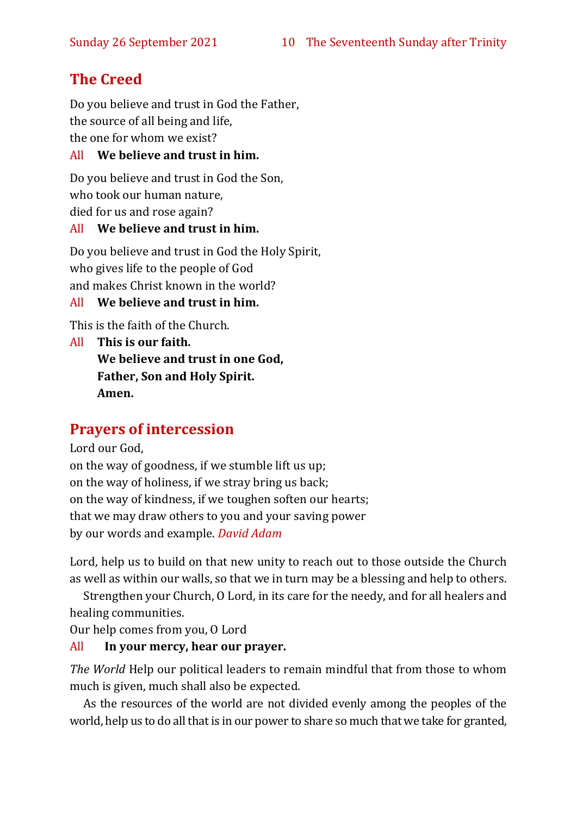#### **The Creed**

Do you believe and trust in God the Father, the source of all being and life, the one for whom we exist?

#### All **We believe and trust in him.**

Do you believe and trust in God the Son, who took our human nature, died for us and rose again?

#### All **We believe and trust in him.**

Do you believe and trust in God the Holy Spirit, who gives life to the people of God and makes Christ known in the world?

#### All **We believe and trust in him.**

This is the faith of the Church.

All **This is our faith. We believe and trust in one God, Father, Son and Holy Spirit. Amen.**

#### **Prayers of intercession**

Lord our God,

on the way of goodness, if we stumble lift us up; on the way of holiness, if we stray bring us back; on the way of kindness, if we toughen soften our hearts; that we may draw others to you and your saving power by our words and example. *David Adam*

Lord, help us to build on that new unity to reach out to those outside the Church as well as within our walls, so that we in turn may be a blessing and help to others.

Strengthen your Church, O Lord, in its care for the needy, and for all healers and healing communities.

Our help comes from you, O Lord

#### All **In your mercy, hear our prayer.**

*The World* Help our political leaders to remain mindful that from those to whom much is given, much shall also be expected.

As the resources of the world are not divided evenly among the peoples of the world, help us to do all that is in our power to share so much that we take for granted,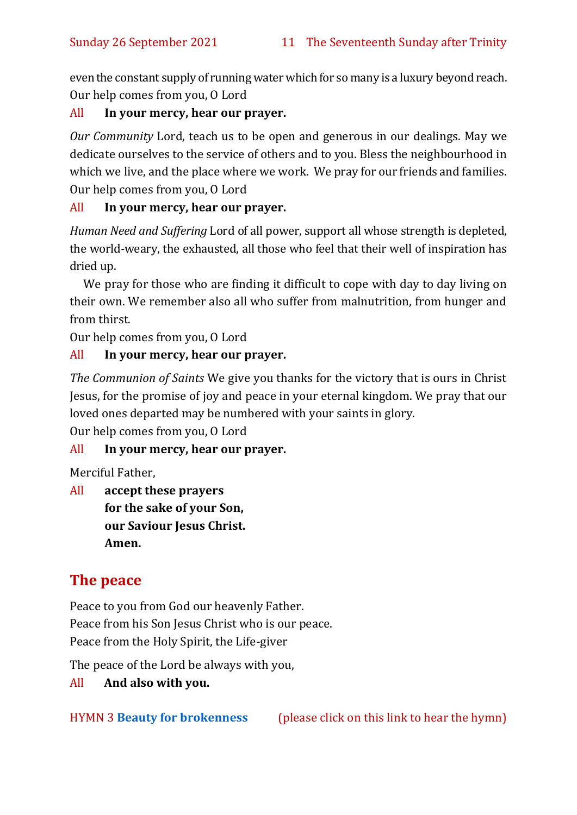even the constant supply of running water which for so many is a luxury beyond reach. Our help comes from you, O Lord

#### All **In your mercy, hear our prayer.**

*Our Community* Lord, teach us to be open and generous in our dealings. May we dedicate ourselves to the service of others and to you. Bless the neighbourhood in which we live, and the place where we work. We pray for our friends and families. Our help comes from you, O Lord

#### All **In your mercy, hear our prayer.**

*Human Need and Suffering* Lord of all power, support all whose strength is depleted, the world-weary, the exhausted, all those who feel that their well of inspiration has dried up.

We pray for those who are finding it difficult to cope with day to day living on their own. We remember also all who suffer from malnutrition, from hunger and from thirst.

Our help comes from you, O Lord

#### All **In your mercy, hear our prayer.**

*The Communion of Saints* We give you thanks for the victory that is ours in Christ Jesus, for the promise of joy and peace in your eternal kingdom. We pray that our loved ones departed may be numbered with your saints in glory.

Our help comes from you, O Lord

#### All **In your mercy, hear our prayer.**

Merciful Father,

All **accept these prayers for the sake of your Son, our Saviour Jesus Christ. Amen.**

#### **The peace**

Peace to you from God our heavenly Father. Peace from his Son Jesus Christ who is our peace. Peace from the Holy Spirit, the Life-giver

The peace of the Lord be always with you,

All **And also with you.**

HYMN 3 **[Beauty for brokenness](https://youtu.be/3kVHKuldZyw)** (please click on this link to hear the hymn)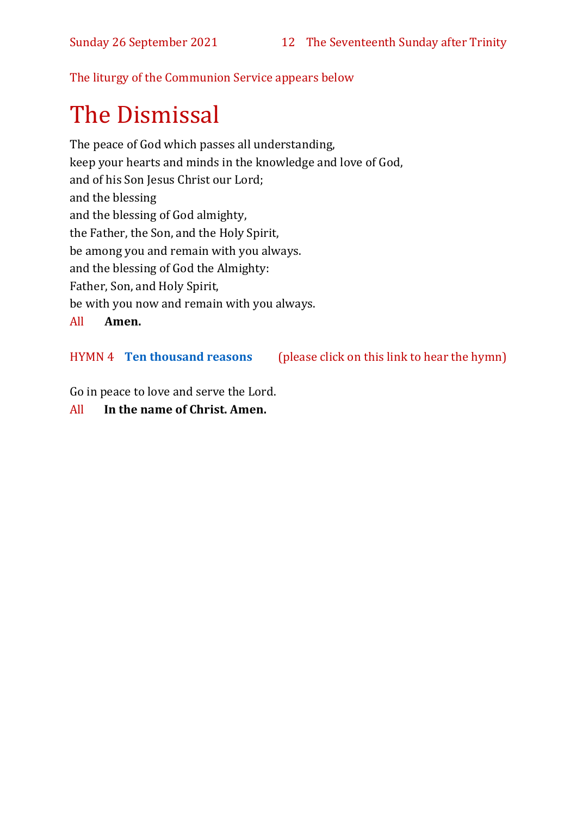The liturgy of the Communion Service appears below

## The Dismissal

The peace of God which passes all understanding, keep your hearts and minds in the knowledge and love of God, and of his Son Jesus Christ our Lord; and the blessing and the blessing of God almighty, the Father, the Son, and the Holy Spirit, be among you and remain with you always. and the blessing of God the Almighty: Father, Son, and Holy Spirit, be with you now and remain with you always. All **Amen.**

HYMN 4 **[Ten thousand reasons](https://www.youtube.com/watch?v=DXDGE_lRI0E)** (please click on this link to hear the hymn)

Go in peace to love and serve the Lord.

All **In the name of Christ. Amen.**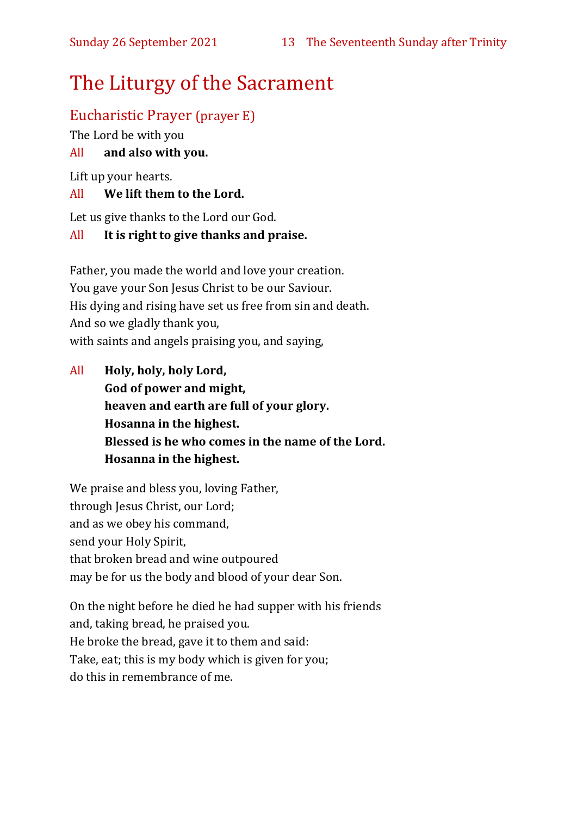## The Liturgy of the Sacrament

#### Eucharistic Prayer (prayer E)

The Lord be with you

#### All **and also with you.**

Lift up your hearts.

#### All **We lift them to the Lord.**

Let us give thanks to the Lord our God.

#### All **It is right to give thanks and praise.**

Father, you made the world and love your creation. You gave your Son Jesus Christ to be our Saviour. His dying and rising have set us free from sin and death. And so we gladly thank you, with saints and angels praising you, and saying,

All **Holy, holy, holy Lord, God of power and might, heaven and earth are full of your glory. Hosanna in the highest. Blessed is he who comes in the name of the Lord. Hosanna in the highest.**

We praise and bless you, loving Father, through Jesus Christ, our Lord; and as we obey his command, send your Holy Spirit, that broken bread and wine outpoured may be for us the body and blood of your dear Son.

On the night before he died he had supper with his friends and, taking bread, he praised you. He broke the bread, gave it to them and said: Take, eat; this is my body which is given for you; do this in remembrance of me.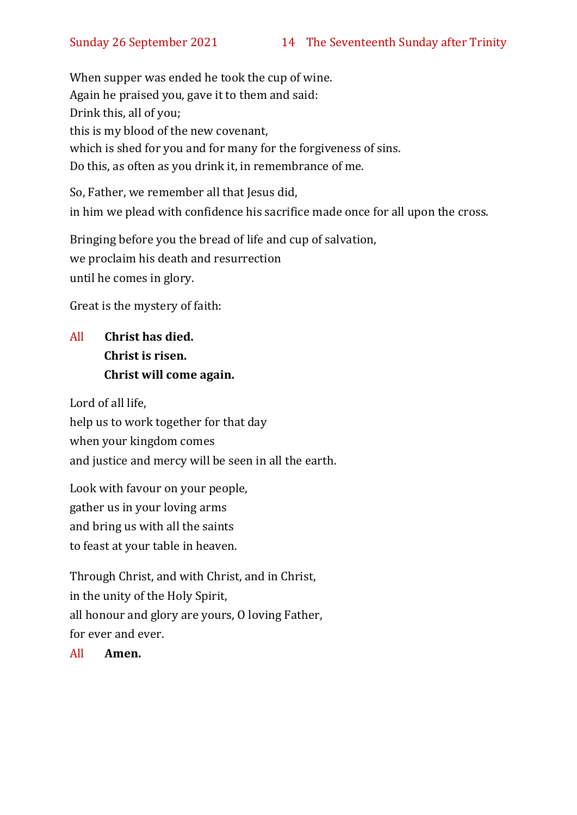When supper was ended he took the cup of wine. Again he praised you, gave it to them and said: Drink this, all of you; this is my blood of the new covenant, which is shed for you and for many for the forgiveness of sins. Do this, as often as you drink it, in remembrance of me.

So, Father, we remember all that Jesus did, in him we plead with confidence his sacrifice made once for all upon the cross.

Bringing before you the bread of life and cup of salvation, we proclaim his death and resurrection until he comes in glory.

Great is the mystery of faith:

#### All **Christ has died. Christ is risen. Christ will come again.**

Lord of all life, help us to work together for that day when your kingdom comes and justice and mercy will be seen in all the earth.

Look with favour on your people, gather us in your loving arms and bring us with all the saints to feast at your table in heaven.

Through Christ, and with Christ, and in Christ, in the unity of the Holy Spirit, all honour and glory are yours, O loving Father, for ever and ever.

All **Amen.**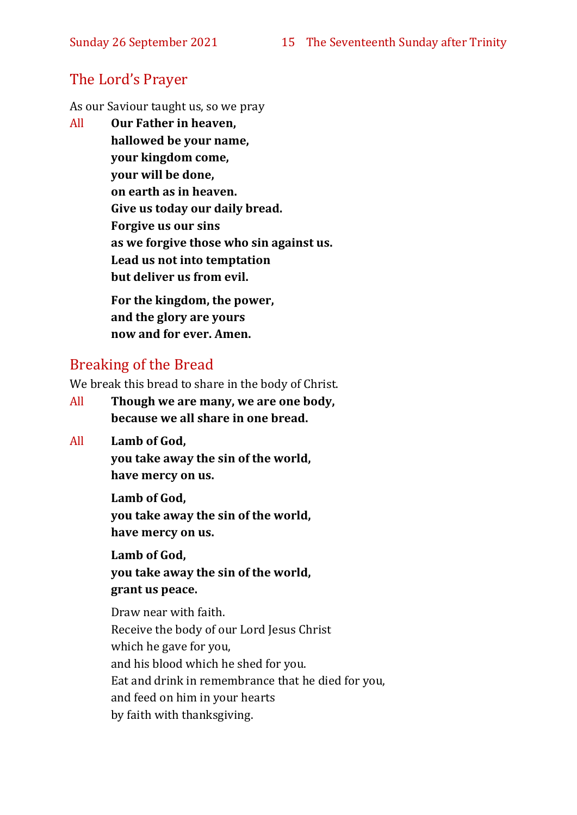#### The Lord's Prayer

As our Saviour taught us, so we pray

All **Our Father in heaven, hallowed be your name, your kingdom come, your will be done, on earth as in heaven. Give us today our daily bread. Forgive us our sins as we forgive those who sin against us. Lead us not into temptation but deliver us from evil. For the kingdom, the power,** 

**and the glory are yours now and for ever. Amen.**

#### Breaking of the Bread

We break this bread to share in the body of Christ.

- All **Though we are many, we are one body, because we all share in one bread.**
- All **Lamb of God,**

**you take away the sin of the world, have mercy on us.**

**Lamb of God, you take away the sin of the world, have mercy on us.**

**Lamb of God, you take away the sin of the world, grant us peace.**

Draw near with faith. Receive the body of our Lord Jesus Christ which he gave for you, and his blood which he shed for you. Eat and drink in remembrance that he died for you, and feed on him in your hearts by faith with thanksgiving.